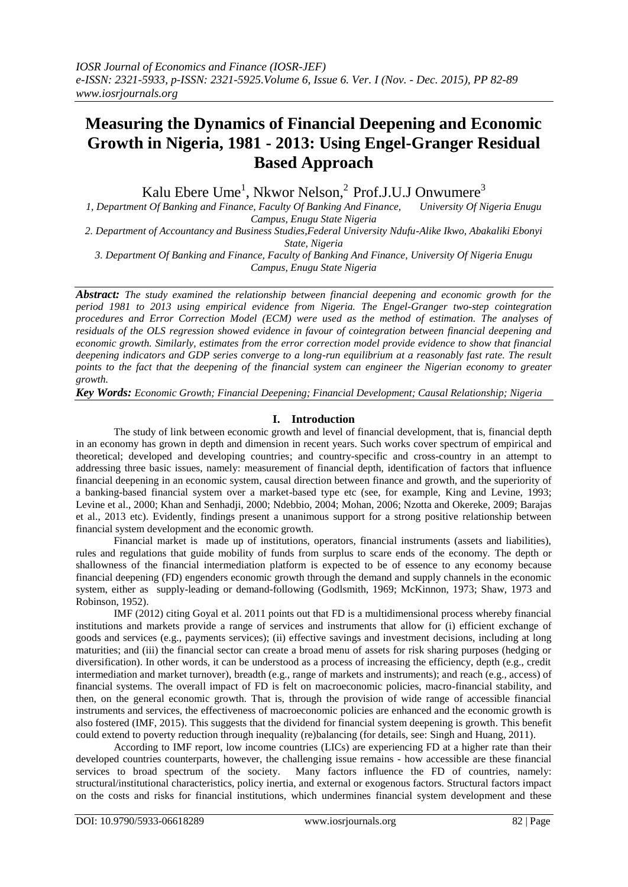# **Measuring the Dynamics of Financial Deepening and Economic Growth in Nigeria, 1981 - 2013: Using Engel-Granger Residual Based Approach**

Kalu Ebere Ume<sup>1</sup>, Nkwor Nelson,<sup>2</sup> Prof.J.U.J Onwumere<sup>3</sup>

*1, Department Of Banking and Finance, Faculty Of Banking And Finance, University Of Nigeria Enugu Campus, Enugu State Nigeria*

*2. Department of Accountancy and Business Studies,Federal University Ndufu-Alike Ikwo, Abakaliki Ebonyi State, Nigeria*

*3. Department Of Banking and Finance, Faculty of Banking And Finance, University Of Nigeria Enugu Campus, Enugu State Nigeria*

*Abstract: The study examined the relationship between financial deepening and economic growth for the period 1981 to 2013 using empirical evidence from Nigeria. The Engel-Granger two-step cointegration procedures and Error Correction Model (ECM) were used as the method of estimation. The analyses of residuals of the OLS regression showed evidence in favour of cointegration between financial deepening and economic growth. Similarly, estimates from the error correction model provide evidence to show that financial deepening indicators and GDP series converge to a long-run equilibrium at a reasonably fast rate. The result points to the fact that the deepening of the financial system can engineer the Nigerian economy to greater growth.* 

*Key Words: Economic Growth; Financial Deepening; Financial Development; Causal Relationship; Nigeria*

# **I. Introduction**

The study of link between economic growth and level of financial development, that is, financial depth in an economy has grown in depth and dimension in recent years. Such works cover spectrum of empirical and theoretical; developed and developing countries; and country-specific and cross-country in an attempt to addressing three basic issues, namely: measurement of financial depth, identification of factors that influence financial deepening in an economic system, causal direction between finance and growth, and the superiority of a banking-based financial system over a market-based type etc (see, for example, King and Levine, 1993; Levine et al., 2000; Khan and Senhadji, 2000; Ndebbio, 2004; Mohan, 2006; Nzotta and Okereke, 2009; Barajas et al., 2013 etc). Evidently, findings present a unanimous support for a strong positive relationship between financial system development and the economic growth.

Financial market is made up of institutions, operators, financial instruments (assets and liabilities), rules and regulations that guide mobility of funds from surplus to scare ends of the economy. The depth or shallowness of the financial intermediation platform is expected to be of essence to any economy because financial deepening (FD) engenders economic growth through the demand and supply channels in the economic system, either as supply-leading or demand-following (Godlsmith, 1969; McKinnon, 1973; Shaw, 1973 and Robinson, 1952).

IMF (2012) citing Goyal et al. 2011 points out that FD is a multidimensional process whereby financial institutions and markets provide a range of services and instruments that allow for (i) efficient exchange of goods and services (e.g., payments services); (ii) effective savings and investment decisions, including at long maturities; and (iii) the financial sector can create a broad menu of assets for risk sharing purposes (hedging or diversification). In other words, it can be understood as a process of increasing the efficiency, depth (e.g., credit intermediation and market turnover), breadth (e.g., range of markets and instruments); and reach (e.g., access) of financial systems. The overall impact of FD is felt on macroeconomic policies, macro-financial stability, and then, on the general economic growth. That is, through the provision of wide range of accessible financial instruments and services, the effectiveness of macroeconomic policies are enhanced and the economic growth is also fostered (IMF, 2015). This suggests that the dividend for financial system deepening is growth. This benefit could extend to poverty reduction through inequality (re)balancing (for details, see: Singh and Huang, 2011).

According to IMF report, low income countries (LICs) are experiencing FD at a higher rate than their developed countries counterparts, however, the challenging issue remains - how accessible are these financial services to broad spectrum of the society. Many factors influence the FD of countries, namely: structural/institutional characteristics, policy inertia, and external or exogenous factors. Structural factors impact on the costs and risks for financial institutions, which undermines financial system development and these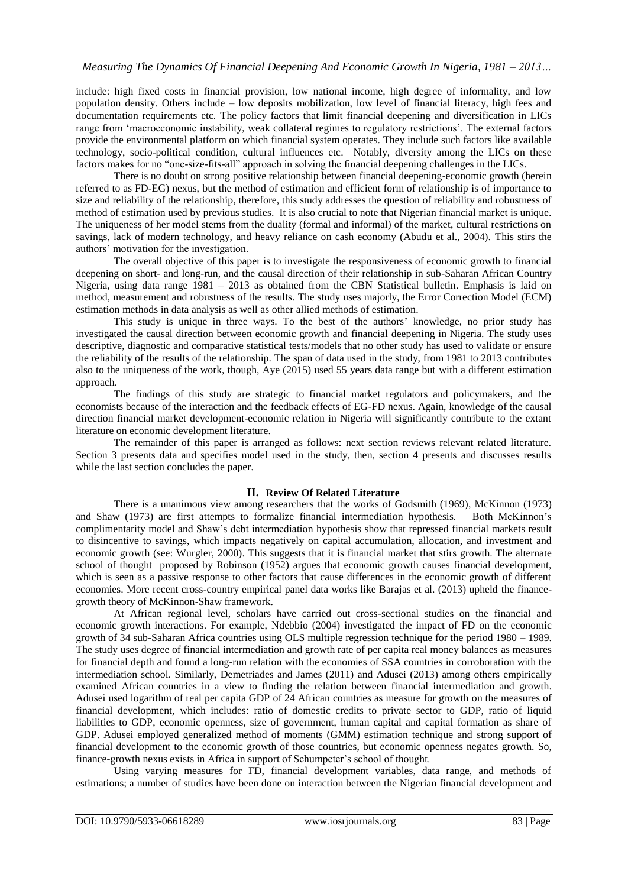include: high fixed costs in financial provision, low national income, high degree of informality, and low population density. Others include – low deposits mobilization, low level of financial literacy, high fees and documentation requirements etc. The policy factors that limit financial deepening and diversification in LICs range from "macroeconomic instability, weak collateral regimes to regulatory restrictions". The external factors provide the environmental platform on which financial system operates. They include such factors like available technology, socio-political condition, cultural influences etc. Notably, diversity among the LICs on these factors makes for no "one-size-fits-all" approach in solving the financial deepening challenges in the LICs.

There is no doubt on strong positive relationship between financial deepening-economic growth (herein referred to as FD-EG) nexus, but the method of estimation and efficient form of relationship is of importance to size and reliability of the relationship, therefore, this study addresses the question of reliability and robustness of method of estimation used by previous studies. It is also crucial to note that Nigerian financial market is unique. The uniqueness of her model stems from the duality (formal and informal) of the market, cultural restrictions on savings, lack of modern technology, and heavy reliance on cash economy (Abudu et al., 2004). This stirs the authors" motivation for the investigation.

The overall objective of this paper is to investigate the responsiveness of economic growth to financial deepening on short- and long-run, and the causal direction of their relationship in sub-Saharan African Country Nigeria, using data range 1981 – 2013 as obtained from the CBN Statistical bulletin. Emphasis is laid on method, measurement and robustness of the results. The study uses majorly, the Error Correction Model (ECM) estimation methods in data analysis as well as other allied methods of estimation.

This study is unique in three ways. To the best of the authors' knowledge, no prior study has investigated the causal direction between economic growth and financial deepening in Nigeria. The study uses descriptive, diagnostic and comparative statistical tests/models that no other study has used to validate or ensure the reliability of the results of the relationship. The span of data used in the study, from 1981 to 2013 contributes also to the uniqueness of the work, though, Aye (2015) used 55 years data range but with a different estimation approach.

The findings of this study are strategic to financial market regulators and policymakers, and the economists because of the interaction and the feedback effects of EG-FD nexus. Again, knowledge of the causal direction financial market development-economic relation in Nigeria will significantly contribute to the extant literature on economic development literature.

The remainder of this paper is arranged as follows: next section reviews relevant related literature. Section 3 presents data and specifies model used in the study, then, section 4 presents and discusses results while the last section concludes the paper.

#### **II. Review Of Related Literature**

There is a unanimous view among researchers that the works of Godsmith (1969), McKinnon (1973) and Shaw (1973) are first attempts to formalize financial intermediation hypothesis. Both McKinnon"s complimentarity model and Shaw"s debt intermediation hypothesis show that repressed financial markets result to disincentive to savings, which impacts negatively on capital accumulation, allocation, and investment and economic growth (see: Wurgler, 2000). This suggests that it is financial market that stirs growth. The alternate school of thought proposed by Robinson (1952) argues that economic growth causes financial development, which is seen as a passive response to other factors that cause differences in the economic growth of different economies. More recent cross-country empirical panel data works like Barajas et al. (2013) upheld the financegrowth theory of McKinnon-Shaw framework.

At African regional level, scholars have carried out cross-sectional studies on the financial and economic growth interactions. For example, Ndebbio (2004) investigated the impact of FD on the economic growth of 34 sub-Saharan Africa countries using OLS multiple regression technique for the period 1980 – 1989. The study uses degree of financial intermediation and growth rate of per capita real money balances as measures for financial depth and found a long-run relation with the economies of SSA countries in corroboration with the intermediation school. Similarly, Demetriades and James (2011) and Adusei (2013) among others empirically examined African countries in a view to finding the relation between financial intermediation and growth. Adusei used logarithm of real per capita GDP of 24 African countries as measure for growth on the measures of financial development, which includes: ratio of domestic credits to private sector to GDP, ratio of liquid liabilities to GDP, economic openness, size of government, human capital and capital formation as share of GDP. Adusei employed generalized method of moments (GMM) estimation technique and strong support of financial development to the economic growth of those countries, but economic openness negates growth. So, finance-growth nexus exists in Africa in support of Schumpeter's school of thought.

Using varying measures for FD, financial development variables, data range, and methods of estimations; a number of studies have been done on interaction between the Nigerian financial development and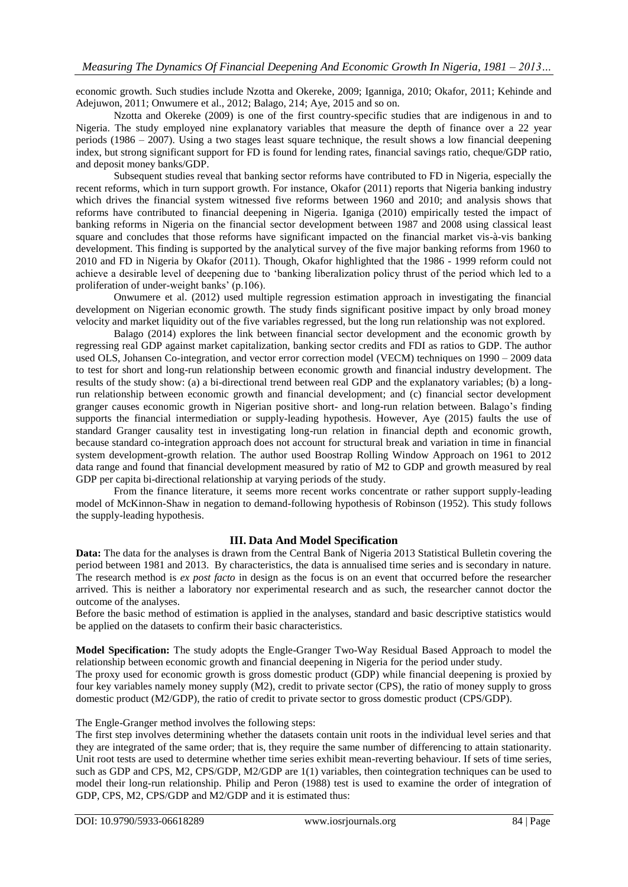economic growth. Such studies include Nzotta and Okereke, 2009; Iganniga, 2010; Okafor, 2011; Kehinde and Adejuwon, 2011; Onwumere et al., 2012; Balago, 214; Aye, 2015 and so on.

Nzotta and Okereke (2009) is one of the first country-specific studies that are indigenous in and to Nigeria. The study employed nine explanatory variables that measure the depth of finance over a 22 year periods (1986 – 2007). Using a two stages least square technique, the result shows a low financial deepening index, but strong significant support for FD is found for lending rates, financial savings ratio, cheque/GDP ratio, and deposit money banks/GDP.

Subsequent studies reveal that banking sector reforms have contributed to FD in Nigeria, especially the recent reforms, which in turn support growth. For instance, Okafor (2011) reports that Nigeria banking industry which drives the financial system witnessed five reforms between 1960 and 2010; and analysis shows that reforms have contributed to financial deepening in Nigeria. Iganiga (2010) empirically tested the impact of banking reforms in Nigeria on the financial sector development between 1987 and 2008 using classical least square and concludes that those reforms have significant impacted on the financial market vis-à-vis banking development. This finding is supported by the analytical survey of the five major banking reforms from 1960 to 2010 and FD in Nigeria by Okafor (2011). Though, Okafor highlighted that the 1986 - 1999 reform could not achieve a desirable level of deepening due to "banking liberalization policy thrust of the period which led to a proliferation of under-weight banks' (p.106).

Onwumere et al. (2012) used multiple regression estimation approach in investigating the financial development on Nigerian economic growth. The study finds significant positive impact by only broad money velocity and market liquidity out of the five variables regressed, but the long run relationship was not explored.

Balago (2014) explores the link between financial sector development and the economic growth by regressing real GDP against market capitalization, banking sector credits and FDI as ratios to GDP. The author used OLS, Johansen Co-integration, and vector error correction model (VECM) techniques on 1990 – 2009 data to test for short and long-run relationship between economic growth and financial industry development. The results of the study show: (a) a bi-directional trend between real GDP and the explanatory variables; (b) a longrun relationship between economic growth and financial development; and (c) financial sector development granger causes economic growth in Nigerian positive short- and long-run relation between. Balago"s finding supports the financial intermediation or supply-leading hypothesis. However, Aye (2015) faults the use of standard Granger causality test in investigating long-run relation in financial depth and economic growth, because standard co-integration approach does not account for structural break and variation in time in financial system development-growth relation. The author used Boostrap Rolling Window Approach on 1961 to 2012 data range and found that financial development measured by ratio of M2 to GDP and growth measured by real GDP per capita bi-directional relationship at varying periods of the study.

From the finance literature, it seems more recent works concentrate or rather support supply-leading model of McKinnon-Shaw in negation to demand-following hypothesis of Robinson (1952). This study follows the supply-leading hypothesis.

#### **III. Data And Model Specification**

**Data:** The data for the analyses is drawn from the Central Bank of Nigeria 2013 Statistical Bulletin covering the period between 1981 and 2013. By characteristics, the data is annualised time series and is secondary in nature. The research method is *ex post facto* in design as the focus is on an event that occurred before the researcher arrived. This is neither a laboratory nor experimental research and as such, the researcher cannot doctor the outcome of the analyses.

Before the basic method of estimation is applied in the analyses, standard and basic descriptive statistics would be applied on the datasets to confirm their basic characteristics.

**Model Specification:** The study adopts the Engle-Granger Two-Way Residual Based Approach to model the relationship between economic growth and financial deepening in Nigeria for the period under study. The proxy used for economic growth is gross domestic product (GDP) while financial deepening is proxied by four key variables namely money supply (M2), credit to private sector (CPS), the ratio of money supply to gross domestic product (M2/GDP), the ratio of credit to private sector to gross domestic product (CPS/GDP).

### The Engle-Granger method involves the following steps:

The first step involves determining whether the datasets contain unit roots in the individual level series and that they are integrated of the same order; that is, they require the same number of differencing to attain stationarity. Unit root tests are used to determine whether time series exhibit mean-reverting behaviour. If sets of time series, such as GDP and CPS, M2, CPS/GDP, M2/GDP are 1(1) variables, then cointegration techniques can be used to model their long-run relationship. Philip and Peron (1988) test is used to examine the order of integration of GDP, CPS, M2, CPS/GDP and M2/GDP and it is estimated thus: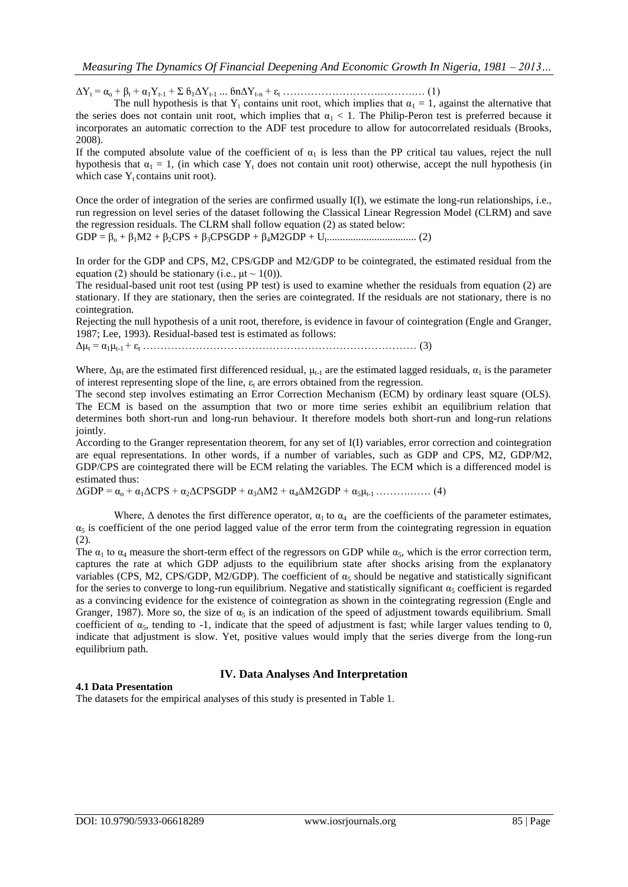$\Delta Y_t = \alpha_0 + \beta_t + \alpha_1 Y_{t-1} + \Sigma \beta_1 \Delta Y_{t-1} ... \delta n \Delta Y_{t-n} + \varepsilon_t ... ... \delta n \Delta Y_{t-n}$ 

The null hypothesis is that Y<sub>t</sub> contains unit root, which implies that  $\alpha_1 = 1$ , against the alternative that the series does not contain unit root, which implies that  $\alpha_1 < 1$ . The Philip-Peron test is preferred because it incorporates an automatic correction to the ADF test procedure to allow for autocorrelated residuals (Brooks, 2008).

If the computed absolute value of the coefficient of  $\alpha_1$  is less than the PP critical tau values, reject the null hypothesis that  $\alpha_1 = 1$ , (in which case Y<sub>t</sub> does not contain unit root) otherwise, accept the null hypothesis (in which case  $Y_t$  contains unit root).

Once the order of integration of the series are confirmed usually I(I), we estimate the long-run relationships, i.e., run regression on level series of the dataset following the Classical Linear Regression Model (CLRM) and save the regression residuals. The CLRM shall follow equation (2) as stated below:

GDP = β<sup>o</sup> + β1M2 + β2CPS + β3CPSGDP + β4M2GDP + U<sup>t</sup> .................................. (2)

In order for the GDP and CPS, M2, CPS/GDP and M2/GDP to be cointegrated, the estimated residual from the equation (2) should be stationary (i.e.,  $\mu$ t ~ 1(0)).

The residual-based unit root test (using PP test) is used to examine whether the residuals from equation (2) are stationary. If they are stationary, then the series are cointegrated. If the residuals are not stationary, there is no cointegration.

Rejecting the null hypothesis of a unit root, therefore, is evidence in favour of cointegration (Engle and Granger, 1987; Lee, 1993). Residual-based test is estimated as follows:

Δμ<sup>t</sup> = α1μt-1 + ε<sup>t</sup> …………………………………………………………………… (3)

Where,  $\Delta \mu_t$  are the estimated first differenced residual,  $\mu_{t-1}$  are the estimated lagged residuals,  $\alpha_1$  is the parameter of interest representing slope of the line,  $\varepsilon_t$  are errors obtained from the regression.

The second step involves estimating an Error Correction Mechanism (ECM) by ordinary least square (OLS). The ECM is based on the assumption that two or more time series exhibit an equilibrium relation that determines both short-run and long-run behaviour. It therefore models both short-run and long-run relations jointly.

According to the Granger representation theorem, for any set of I(I) variables, error correction and cointegration are equal representations. In other words, if a number of variables, such as GDP and CPS, M2, GDP/M2, GDP/CPS are cointegrated there will be ECM relating the variables. The ECM which is a differenced model is estimated thus:

ΔGDP = α<sup>o</sup> + α1ΔCPS + α2ΔCPSGDP + α3ΔM2 + α4ΔM2GDP + α5μt-1 ……….…… (4)

Where,  $\Delta$  denotes the first difference operator,  $\alpha_1$  to  $\alpha_4$  are the coefficients of the parameter estimates,  $\alpha_5$  is coefficient of the one period lagged value of the error term from the cointegrating regression in equation (2).

The  $\alpha_1$  to  $\alpha_4$  measure the short-term effect of the regressors on GDP while  $\alpha_5$ , which is the error correction term, captures the rate at which GDP adjusts to the equilibrium state after shocks arising from the explanatory variables (CPS, M2, CPS/GDP, M2/GDP). The coefficient of  $\alpha_5$  should be negative and statistically significant for the series to converge to long-run equilibrium. Negative and statistically significant  $\alpha_5$  coefficient is regarded as a convincing evidence for the existence of cointegration as shown in the cointegrating regression (Engle and Granger, 1987). More so, the size of  $\alpha_5$  is an indication of the speed of adjustment towards equilibrium. Small coefficient of  $\alpha_5$ , tending to -1, indicate that the speed of adjustment is fast; while larger values tending to 0, indicate that adjustment is slow. Yet, positive values would imply that the series diverge from the long-run equilibrium path.

# **IV. Data Analyses And Interpretation**

### **4.1 Data Presentation**

The datasets for the empirical analyses of this study is presented in Table 1.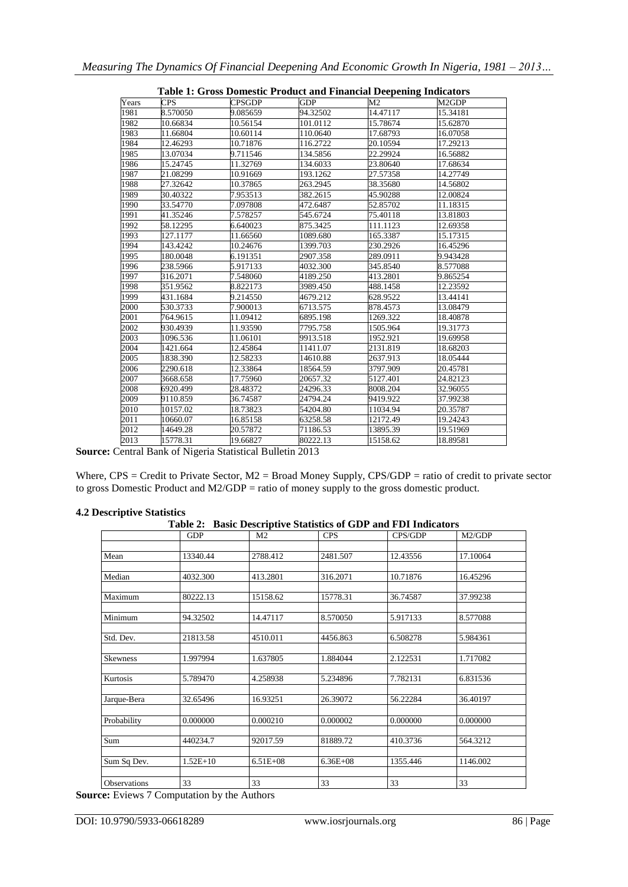| Table 1: Gross Domestic Product and Financial Deepening Indicators |            |               |            |                |          |  |  |
|--------------------------------------------------------------------|------------|---------------|------------|----------------|----------|--|--|
| Years                                                              | <b>CPS</b> | <b>CPSGDP</b> | <b>GDP</b> | M <sub>2</sub> | M2GDP    |  |  |
| 1981                                                               | 8.570050   | 9.085659      | 94.32502   | 14.47117       | 15.34181 |  |  |
| 1982                                                               | 10.66834   | 10.56154      | 101.0112   | 15.78674       | 15.62870 |  |  |
| 1983                                                               | 11.66804   | 10.60114      | 110.0640   | 17.68793       | 16.07058 |  |  |
| 1984                                                               | 12.46293   | 10.71876      | 116.2722   | 20.10594       | 17.29213 |  |  |
| 1985                                                               | 13.07034   | 9.711546      | 134.5856   | 22.29924       | 16.56882 |  |  |
| 1986                                                               | 15.24745   | 11.32769      | 134.6033   | 23.80640       | 17.68634 |  |  |
| 1987                                                               | 21.08299   | 10.91669      | 193.1262   | 27.57358       | 14.27749 |  |  |
| 1988                                                               | 27.32642   | 10.37865      | 263.2945   | 38.35680       | 14.56802 |  |  |
| 1989                                                               | 30.40322   | 7.953513      | 382.2615   | 45.90288       | 12.00824 |  |  |
| 1990                                                               | 33.54770   | 7.097808      | 472.6487   | 52.85702       | 11.18315 |  |  |
| 1991                                                               | 41.35246   | 7.578257      | 545.6724   | 75.40118       | 13.81803 |  |  |
| 1992                                                               | 58.12295   | 6.640023      | 875.3425   | 111.1123       | 12.69358 |  |  |
| 1993                                                               | 127.1177   | 11.66560      | 1089.680   | 165.3387       | 15.17315 |  |  |
| 1994                                                               | 143.4242   | 10.24676      | 1399.703   | 230.2926       | 16.45296 |  |  |
| 1995                                                               | 180.0048   | 6.191351      | 2907.358   | 289.0911       | 9.943428 |  |  |
| 1996                                                               | 238.5966   | 5.917133      | 4032.300   | 345.8540       | 8.577088 |  |  |
| 1997                                                               | 316.2071   | 7.548060      | 4189.250   | 413.2801       | 9.865254 |  |  |
| 1998                                                               | 351.9562   | 8.822173      | 3989.450   | 488.1458       | 12.23592 |  |  |
| 1999                                                               | 431.1684   | 9.214550      | 4679.212   | 628.9522       | 13.44141 |  |  |
| 2000                                                               | 530.3733   | 7.900013      | 6713.575   | 878.4573       | 13.08479 |  |  |
| 2001                                                               | 764.9615   | 11.09412      | 6895.198   | 1269.322       | 18.40878 |  |  |
| 2002                                                               | 930.4939   | 11.93590      | 7795.758   | 1505.964       | 19.31773 |  |  |
| 2003                                                               | 1096.536   | 11.06101      | 9913.518   | 1952.921       | 19.69958 |  |  |
| 2004                                                               | 1421.664   | 12.45864      | 11411.07   | 2131.819       | 18.68203 |  |  |
| 2005                                                               | 1838.390   | 12.58233      | 14610.88   | 2637.913       | 18.05444 |  |  |
| 2006                                                               | 2290.618   | 12.33864      | 18564.59   | 3797.909       | 20.45781 |  |  |
| 2007                                                               | 3668.658   | 17.75960      | 20657.32   | 5127.401       | 24.82123 |  |  |
| 2008                                                               | 6920.499   | 28.48372      | 24296.33   | 8008.204       | 32.96055 |  |  |
| 2009                                                               | 9110.859   | 36.74587      | 24794.24   | 9419.922       | 37.99238 |  |  |
| 2010                                                               | 10157.02   | 18.73823      | 54204.80   | 11034.94       | 20.35787 |  |  |
| 2011                                                               | 10660.07   | 16.85158      | 63258.58   | 12172.49       | 19.24243 |  |  |
| 2012                                                               | 14649.28   | 20.57872      | 71186.53   | 13895.39       | 19.51969 |  |  |
| 2013                                                               | 15778.31   | 19.66827      | 80222.13   | 15158.62       | 18.89581 |  |  |
|                                                                    |            |               |            |                |          |  |  |

|  | <b>Table 1: Gross Domestic Product and Financial Deepening Indicators</b> |  |  |  |  |
|--|---------------------------------------------------------------------------|--|--|--|--|
|  |                                                                           |  |  |  |  |

**Source:** Central Bank of Nigeria Statistical Bulletin 2013

Where, CPS = Credit to Private Sector, M2 = Broad Money Supply, CPS/GDP = ratio of credit to private sector to gross Domestic Product and M2/GDP = ratio of money supply to the gross domestic product.

### **4.2 Descriptive Statistics**

**Table 2: Basic Descriptive Statistics of GDP and FDI Indicators**

|                 | <b>GDP</b> | M <sub>2</sub> | <b>Dasie Descriptive Statistics of ODT and</b><br><b>CPS</b> | CPS/GDP  | M2/GDP   |
|-----------------|------------|----------------|--------------------------------------------------------------|----------|----------|
|                 |            |                |                                                              |          |          |
| Mean            | 13340.44   | 2788.412       | 2481.507                                                     | 12.43556 | 17.10064 |
|                 |            |                |                                                              |          |          |
| Median          | 4032.300   | 413.2801       | 316.2071                                                     | 10.71876 | 16.45296 |
| Maximum         |            |                |                                                              |          |          |
|                 | 80222.13   | 15158.62       | 15778.31                                                     | 36.74587 | 37.99238 |
| Minimum         | 94.32502   | 14.47117       | 8.570050                                                     | 5.917133 | 8.577088 |
| Std. Dev.       | 21813.58   | 4510.011       | 4456.863                                                     | 6.508278 | 5.984361 |
|                 |            |                |                                                              |          |          |
| <b>Skewness</b> | 1.997994   | 1.637805       | 1.884044                                                     | 2.122531 | 1.717082 |
| Kurtosis        | 5.789470   | 4.258938       | 5.234896                                                     | 7.782131 | 6.831536 |
| Jarque-Bera     | 32.65496   | 16.93251       | 26.39072                                                     | 56.22284 | 36.40197 |
| Probability     | 0.000000   | 0.000210       | 0.000002                                                     | 0.000000 | 0.000000 |
|                 |            |                |                                                              |          |          |
| Sum             | 440234.7   | 92017.59       | 81889.72                                                     | 410.3736 | 564.3212 |
|                 |            |                |                                                              |          |          |
| Sum Sq Dev.     | $1.52E+10$ | $6.51E + 08$   | $6.36E + 08$                                                 | 1355.446 | 1146.002 |
| Observations    | 33         | 33             | 33                                                           | 33       | 33       |

**Source:** Eviews 7 Computation by the Authors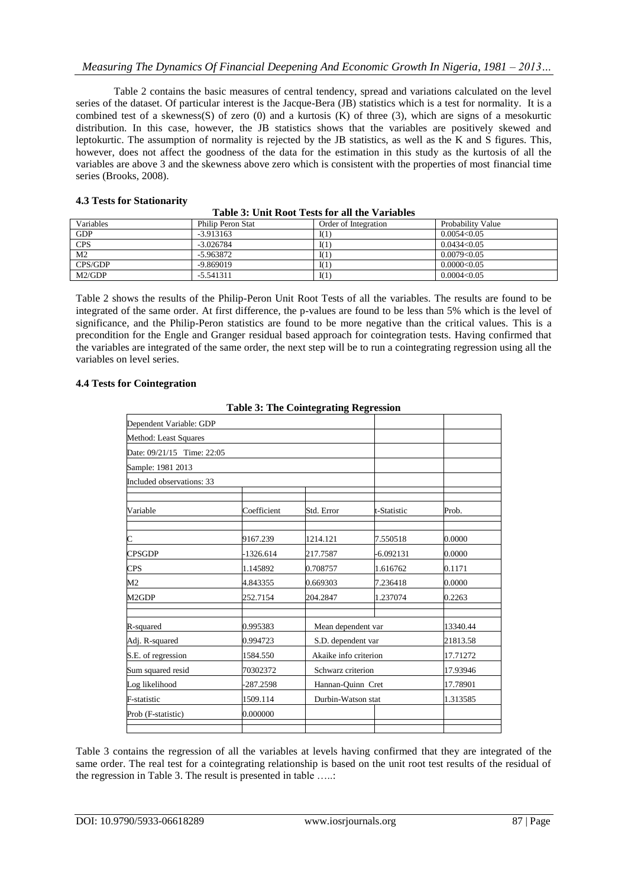Table 2 contains the basic measures of central tendency, spread and variations calculated on the level series of the dataset. Of particular interest is the Jacque-Bera (JB) statistics which is a test for normality. It is a combined test of a skewness(S) of zero  $(0)$  and a kurtosis  $(K)$  of three  $(3)$ , which are signs of a mesokurtic distribution. In this case, however, the JB statistics shows that the variables are positively skewed and leptokurtic. The assumption of normality is rejected by the JB statistics, as well as the K and S figures. This, however, does not affect the goodness of the data for the estimation in this study as the kurtosis of all the variables are above 3 and the skewness above zero which is consistent with the properties of most financial time series (Brooks, 2008).

### **4.3 Tests for Stationarity**

| Variables      | Philip Peron Stat | Order of Integration | Probability Value |  |  |  |
|----------------|-------------------|----------------------|-------------------|--|--|--|
| <b>GDP</b>     | $-3.913163$       | I(1)                 | 0.0054<0.05       |  |  |  |
| <b>CPS</b>     | $-3.026784$       | I(1)                 | 0.0434<0.05       |  |  |  |
| M <sub>2</sub> | $-5.963872$       | I(1)                 | 0.0079<0.05       |  |  |  |
| CPS/GDP        | $-9.869019$       | I(1)                 | 0.0000 < 0.05     |  |  |  |
| M2/GDP         | $-5.541311$       | I(1)                 | 0.0004<0.05       |  |  |  |

**Table 3: Unit Root Tests for all the Variables**

Table 2 shows the results of the Philip-Peron Unit Root Tests of all the variables. The results are found to be integrated of the same order. At first difference, the p-values are found to be less than 5% which is the level of significance, and the Philip-Peron statistics are found to be more negative than the critical values. This is a precondition for the Engle and Granger residual based approach for cointegration tests. Having confirmed that the variables are integrated of the same order, the next step will be to run a cointegrating regression using all the variables on level series.

### **4.4 Tests for Cointegration**

|                            | Table 5. The Connegrating Regiession |                       |             |          |
|----------------------------|--------------------------------------|-----------------------|-------------|----------|
| Dependent Variable: GDP    |                                      |                       |             |          |
| Method: Least Squares      |                                      |                       |             |          |
| Date: 09/21/15 Time: 22:05 |                                      |                       |             |          |
| Sample: 1981 2013          |                                      |                       |             |          |
| Included observations: 33  |                                      |                       |             |          |
|                            |                                      |                       |             |          |
| Variable                   | Coefficient                          | Std. Error            | t-Statistic | Prob.    |
|                            |                                      |                       |             |          |
| C                          | 9167.239                             | 1214.121              | 7.550518    | 0.0000   |
| <b>CPSGDP</b>              | $-1326.614$                          | 217.7587              | $-6.092131$ | 0.0000   |
| <b>CPS</b>                 | 1.145892                             | 0.708757              | 1.616762    | 0.1171   |
| M <sub>2</sub>             | 4.843355                             | 0.669303              | 7.236418    | 0.0000   |
| M2GDP                      | 252.7154                             | 204.2847              | 1.237074    | 0.2263   |
|                            |                                      |                       |             |          |
| R-squared                  | 0.995383                             | Mean dependent var    |             | 13340.44 |
| Adj. R-squared             | 0.994723                             | S.D. dependent var    |             | 21813.58 |
| S.E. of regression         | 1584.550                             | Akaike info criterion |             | 17.71272 |
| Sum squared resid          | 70302372                             | Schwarz criterion     |             | 17.93946 |
| Log likelihood             | -287.2598                            | Hannan-Quinn Cret     |             | 17.78901 |
| F-statistic                | 1509.114                             | Durbin-Watson stat    |             | 1.313585 |
| Prob (F-statistic)         | 0.000000                             |                       |             |          |
|                            |                                      |                       |             |          |

| <b>Table 3: The Cointegrating Regression</b> |  |
|----------------------------------------------|--|
|----------------------------------------------|--|

Table 3 contains the regression of all the variables at levels having confirmed that they are integrated of the same order. The real test for a cointegrating relationship is based on the unit root test results of the residual of the regression in Table 3. The result is presented in table …..: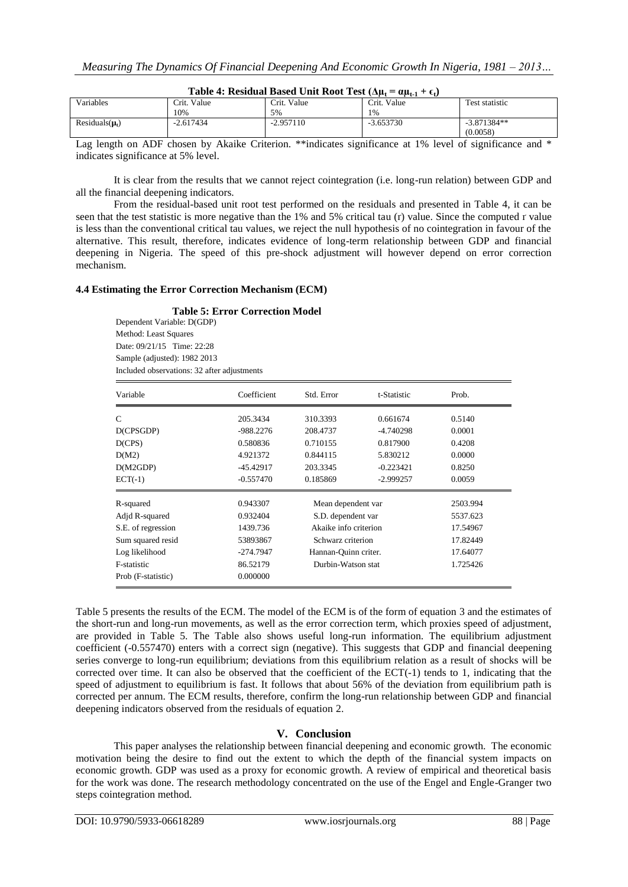| $-r-t$<br>$-1$<br>$-1.7$ |                     |             |             |                |  |  |
|--------------------------|---------------------|-------------|-------------|----------------|--|--|
| Variables                | Crit. Value         | Crit. Value | Crit. Value | Test statistic |  |  |
|                          | 10%                 | 5%          | 1%          |                |  |  |
| Residuals $(\mu_t)$      | $-2.617434$<br>$-1$ | 2.957110    | $-3.653730$ | $-3.871384**$  |  |  |
|                          |                     |             |             | (0.0058)       |  |  |

**Table 4: Residual Based Unit Root Test**  $(\Delta u_t = \alpha u_{t-1} + \epsilon_t)$ 

Lag length on ADF chosen by Akaike Criterion. \*\*indicates significance at 1% level of significance and \* indicates significance at 5% level.

It is clear from the results that we cannot reject cointegration (i.e. long-run relation) between GDP and all the financial deepening indicators.

From the residual-based unit root test performed on the residuals and presented in Table 4, it can be seen that the test statistic is more negative than the  $1\%$  and  $5\%$  critical tau (r) value. Since the computed r value is less than the conventional critical tau values, we reject the null hypothesis of no cointegration in favour of the alternative. This result, therefore, indicates evidence of long-term relationship between GDP and financial deepening in Nigeria. The speed of this pre-shock adjustment will however depend on error correction mechanism.

#### **4.4 Estimating the Error Correction Mechanism (ECM)**

**Table 5: Error Correction Model** Dependent Variable: D(GDP) Method: Least Squares Date: 09/21/15 Time: 22:28 Sample (adjusted): 1982 2013 Included observations: 32 after adjustments

| Variable           | Coefficient                       | Std. Error           | t-Statistic | Prob.    |
|--------------------|-----------------------------------|----------------------|-------------|----------|
| C                  | 205.3434                          | 310.3393             | 0.661674    | 0.5140   |
| D(CPSGDP)          | $-988.2276$                       | 208.4737             | $-4.740298$ | 0.0001   |
| D(CPS)             | 0.580836                          | 0.710155             | 0.817900    | 0.4208   |
| D(M2)              | 4.921372                          | 0.844115             | 5.830212    | 0.0000   |
| D(M2GDP)           | $-45.42917$                       | 203.3345             | $-0.223421$ | 0.8250   |
| $ECT(-1)$          | $-0.557470$                       | 0.185869             | $-2.999257$ | 0.0059   |
| R-squared          | 0.943307                          | Mean dependent var   |             | 2503.994 |
| Adjd R-squared     | 0.932404                          | S.D. dependent var   |             | 5537.623 |
| S.E. of regression | 1439.736<br>Akaike info criterion |                      |             | 17.54967 |
| Sum squared resid  | 53893867                          | Schwarz criterion    |             | 17.82449 |
| Log likelihood     | $-274.7947$                       | Hannan-Quinn criter. |             | 17.64077 |
| F-statistic        | 86.52179                          | Durbin-Watson stat   |             | 1.725426 |
| Prob (F-statistic) | 0.000000                          |                      |             |          |

Table 5 presents the results of the ECM. The model of the ECM is of the form of equation 3 and the estimates of the short-run and long-run movements, as well as the error correction term, which proxies speed of adjustment, are provided in Table 5. The Table also shows useful long-run information. The equilibrium adjustment coefficient (-0.557470) enters with a correct sign (negative). This suggests that GDP and financial deepening series converge to long-run equilibrium; deviations from this equilibrium relation as a result of shocks will be corrected over time. It can also be observed that the coefficient of the ECT(-1) tends to 1, indicating that the speed of adjustment to equilibrium is fast. It follows that about 56% of the deviation from equilibrium path is corrected per annum. The ECM results, therefore, confirm the long-run relationship between GDP and financial deepening indicators observed from the residuals of equation 2.

# **V. Conclusion**

This paper analyses the relationship between financial deepening and economic growth. The economic motivation being the desire to find out the extent to which the depth of the financial system impacts on economic growth. GDP was used as a proxy for economic growth. A review of empirical and theoretical basis for the work was done. The research methodology concentrated on the use of the Engel and Engle-Granger two steps cointegration method.